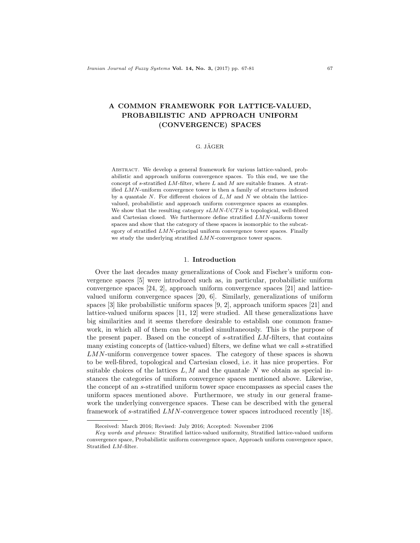# A COMMON FRAMEWORK FOR LATTICE-VALUED, PROBABILISTIC AND APPROACH UNIFORM (CONVERGENCE) SPACES

## G. JÄGER

ABSTRACT. We develop a general framework for various lattice-valued, probabilistic and approach uniform convergence spaces. To this end, we use the concept of s-stratified  $LM$ -filter, where  $L$  and  $M$  are suitable frames. A stratified LMN-uniform convergence tower is then a family of structures indexed by a quantale  $N$ . For different choices of  $L, M$  and  $N$  we obtain the latticevalued, probabilistic and approach uniform convergence spaces as examples. We show that the resulting category  $sLMN-UCTS$  is topological, well-fibred and Cartesian closed. We furthermore define stratified LMN-uniform tower spaces and show that the category of these spaces is isomorphic to the subcategory of stratified  $LMN$ -principal uniform convergence tower spaces. Finally we study the underlying stratified LMN-convergence tower spaces.

### 1. Introduction

Over the last decades many generalizations of Cook and Fischer's uniform convergence spaces [5] were introduced such as, in particular, probabilistic uniform convergence spaces [24, 2], approach uniform convergence spaces [21] and latticevalued uniform convergence spaces [20, 6]. Similarly, generalizations of uniform spaces [3] like probabilistic uniform spaces [9, 2], approach uniform spaces [21] and lattice-valued uniform spaces [11, 12] were studied. All these generalizations have big similarities and it seems therefore desirable to establish one common framework, in which all of them can be studied simultaneously. This is the purpose of the present paper. Based on the concept of s-stratified LM-filters, that contains many existing concepts of (lattice-valued) filters, we define what we call s-stratified LMN-uniform convergence tower spaces. The category of these spaces is shown to be well-fibred, topological and Cartesian closed, i.e. it has nice properties. For suitable choices of the lattices  $L, M$  and the quantale N we obtain as special instances the categories of uniform convergence spaces mentioned above. Likewise, the concept of an s-stratified uniform tower space encompasses as special cases the uniform spaces mentioned above. Furthermore, we study in our general framework the underlying convergence spaces. These can be described with the general framework of s-stratified LMN-convergence tower spaces introduced recently [18].

Received: March 2016; Revised: July 2016; Accepted: November 2106

Key words and phrases: Stratified lattice-valued uniformity, Stratified lattice-valued uniform convergence space, Probabilistic uniform convergence space, Approach uniform convergence space, Stratified LM-filter.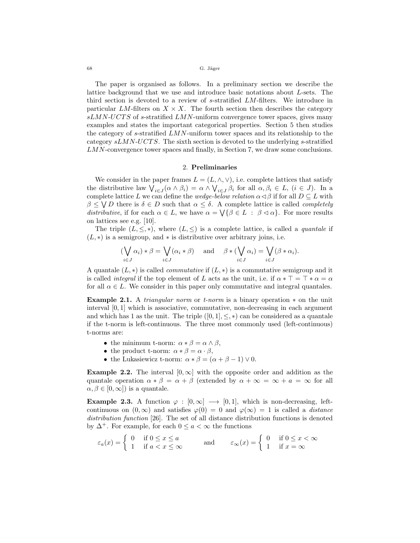The paper is organised as follows. In a preliminary section we describe the lattice background that we use and introduce basic notations about L-sets. The third section is devoted to a review of s-stratified LM-filters. We introduce in particular LM-filters on  $X \times X$ . The fourth section then describes the category  $sLMN-UCTS$  of s-stratified  $LMN$ -uniform convergence tower spaces, gives many examples and states the important categorical properties. Section 5 then studies the category of s-stratified LMN-uniform tower spaces and its relationship to the category  $sLMN-UCTS$ . The sixth section is devoted to the underlying s-stratified LMN-convergence tower spaces and finally, in Section 7, we draw some conclusions.

### 2. Preliminaries

We consider in the paper frames  $L = (L, \wedge, \vee)$ , i.e. complete lattices that satisfy the distributive law  $\bigvee_{i\in J} (\alpha \wedge \beta_i) = \alpha \wedge \bigvee_{i\in J} \beta_i$  for all  $\alpha, \beta_i \in L$ ,  $(i \in J)$ . In a complete lattice L we can define the wedge-below relation  $\alpha \triangleleft \beta$  if for all  $D \subseteq L$  with  $\beta \leq \bigvee D$  there is  $\delta \in D$  such that  $\alpha \leq \delta$ . A complete lattice is called *completely* distributive, if for each  $\alpha \in L$ , we have  $\alpha = \bigvee {\beta \in L : \beta \triangleleft \alpha}$ . For more results on lattices see e.g. [10].

The triple  $(L, \leq, *)$ , where  $(L, \leq)$  is a complete lattice, is called a *quantale* if  $(L, *)$  is a semigroup, and  $*$  is distributive over arbitrary joins, i.e.

$$
(\bigvee_{i \in J} \alpha_i) * \beta = \bigvee_{i \in J} (\alpha_i * \beta) \quad \text{and} \quad \beta * (\bigvee_{i \in J} \alpha_i) = \bigvee_{i \in J} (\beta * \alpha_i).
$$

A quantilable  $(L, *)$  is called *commutative* if  $(L, *)$  is a commutative semigroup and it is called *integral* if the top element of L acts as the unit, i.e. if  $\alpha * \top = \top * \alpha = \alpha$ for all  $\alpha \in L$ . We consider in this paper only commutative and integral quantales.

**Example 2.1.** A *triangular norm* or *t*-norm is a binary operation  $*$  on the unit interval  $[0,1]$  which is associative, commutative, non-decreasing in each argument and which has 1 as the unit. The triple  $([0, 1], \leq, *)$  can be considered as a quantale if the t-norm is left-continuous. The three most commonly used (left-continuous) t-norms are:

- the minimum t-norm:  $\alpha * \beta = \alpha \wedge \beta$ ,
- the product t-norm:  $\alpha * \beta = \alpha \cdot \beta$ ,
- the Lukasiewicz t-norm:  $\alpha * \beta = (\alpha + \beta 1) \vee 0$ .

**Example 2.2.** The interval  $[0, \infty]$  with the opposite order and addition as the quantale operation  $\alpha * \beta = \alpha + \beta$  (extended by  $\alpha + \infty = \infty + a = \infty$  for all  $\alpha, \beta \in [0, \infty]$  is a quantale.

**Example 2.3.** A function  $\varphi : [0, \infty] \longrightarrow [0, 1]$ , which is non-decreasing, leftcontinuous on  $(0, \infty)$  and satisfies  $\varphi(0) = 0$  and  $\varphi(\infty) = 1$  is called a *distance* distribution function [26]. The set of all distance distribution functions is denoted by  $\Delta^+$ . For example, for each  $0 \leq a < \infty$  the functions

$$
\varepsilon_a(x) = \begin{cases} 0 & \text{if } 0 \le x \le a \\ 1 & \text{if } a < x \le \infty \end{cases} \qquad \text{and} \qquad \varepsilon_\infty(x) = \begin{cases} 0 & \text{if } 0 \le x < \infty \\ 1 & \text{if } x = \infty \end{cases}
$$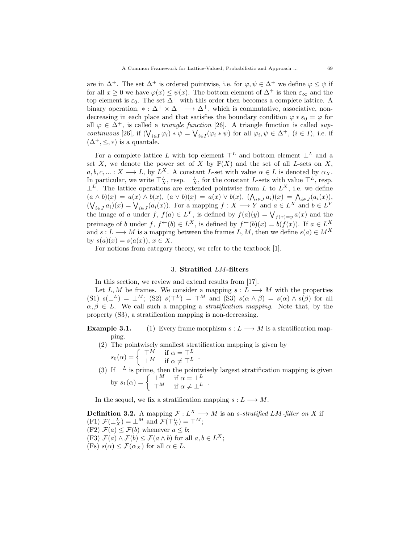are in  $\Delta^+$ . The set  $\Delta^+$  is ordered pointwise, i.e. for  $\varphi, \psi \in \Delta^+$  we define  $\varphi \leq \psi$  if for all  $x \ge 0$  we have  $\varphi(x) \le \psi(x)$ . The bottom element of  $\Delta^+$  is then  $\varepsilon_{\infty}$  and the top element is  $\varepsilon_0$ . The set  $\Delta^+$  with this order then becomes a complete lattice. A binary operation,  $* : \Delta^+ \times \Delta^+ \longrightarrow \Delta^+$ , which is commutative, associative, nondecreasing in each place and that satisfies the boundary condition  $\varphi * \varepsilon_0 = \varphi$  for all  $\varphi \in \Delta^+$ , is called a *triangle function* [26]. A triangle function is called *sup*continuous [26], if  $(\bigvee_{i\in I}\varphi_i)*\psi = \bigvee_{i\in I}(\varphi_i*\psi)$  for all  $\varphi_i,\psi\in\Delta^+$ ,  $(i\in I)$ , i.e. if  $(\Delta^+, \leq, *)$  is a quantale.

For a complete lattice L with top element  $\top^L$  and bottom element  $\bot^L$  and a set X, we denote the power set of X by  $\mathbb{P}(X)$  and the set of all L-sets on X,  $a, b, c, ... : X \longrightarrow L$ , by  $L^X$ . A constant L-set with value  $\alpha \in L$  is denoted by  $\alpha_X$ . In particular, we write  $\top_X^L$ , resp.  $\bot_X^L$ , for the constant L-sets with value  $\top^L$ , resp.  $\perp^L$ . The lattice operations are extended pointwise from L to  $L^X$ , i.e. we define  $(a \wedge b)(x) = a(x) \wedge b(x), (a \vee b)(x) = a(x) \vee b(x), (\bigwedge_{i \in J} a_i)(x) = \bigwedge_{i \in J} (a_i(x)),$  $(\bigvee_{i\in J} a_i)(x) = \bigvee_{i\in J} (a_i(x))$ . For a mapping  $f: X \longrightarrow Y$  and  $a \in L^X$  and  $b \in L^Y$ the image of a under f,  $f(a) \in L^Y$ , is defined by  $f(a)(y) = \bigvee_{f(x)=y} a(x)$  and the preimage of b under f,  $f^{\leftarrow}(b) \in L^X$ , is defined by  $f^{\leftarrow}(b)(x) = b(f(x))$ . If  $a \in L^X$ and  $s: L \longrightarrow M$  is a mapping between the frames  $L, M$ , then we define  $s(a) \in M^X$ by  $s(a)(x) = s(a(x))$ ,  $x \in X$ .

For notions from category theory, we refer to the textbook [1].

### 3. Stratified LM-filters

In this section, we review and extend results from [17].

Let  $L, M$  be frames. We consider a mapping  $s: L \longrightarrow M$  with the properties (S1)  $s(\perp^L) = \perp^M$ ; (S2)  $s(\perp^L) = \perp^M$  and (S3)  $s(\alpha \wedge \beta) = s(\alpha) \wedge s(\beta)$  for all  $\alpha, \beta \in L$ . We call such a mapping a *stratification mapping*. Note that, by the property (S3), a stratification mapping is non-decreasing.

**Example 3.1.** (1) Every frame morphism  $s: L \longrightarrow M$  is a stratification mapping.

(2) The pointwisely smallest stratification mapping is given by

 $s_0(\alpha) = \begin{cases} \top^M & \text{if } \alpha = \top^L \\ \bot^M & \text{if } \alpha \neq \top^L \end{cases}.$ 

(3) If  $\perp^L$  is prime, then the pointwisely largest stratification mapping is given by  $s_1(\alpha) = \begin{cases} \pm M & \text{if } \alpha = \pm L \\ \mp M & \text{if } \alpha \neq \pm L \end{cases}$ .

In the sequel, we fix a stratification mapping  $s: L \longrightarrow M$ .

**Definition 3.2.** A mapping  $\mathcal{F}: L^X \longrightarrow M$  is an *s*-stratified LM-filter on X if (F1)  $\mathcal{F}(\perp_X^L) = \perp^M$  and  $\mathcal{F}(\perp_X^L) = \perp^M$ ; (F2)  $\mathcal{F}(a) \leq \mathcal{F}(b)$  whenever  $a \leq b$ ; (F3)  $\mathcal{F}(a) \wedge \mathcal{F}(b) \leq \mathcal{F}(a \wedge b)$  for all  $a, b \in L^X$ ; (Fs)  $s(\alpha) \leq \mathcal{F}(\alpha_X)$  for all  $\alpha \in L$ .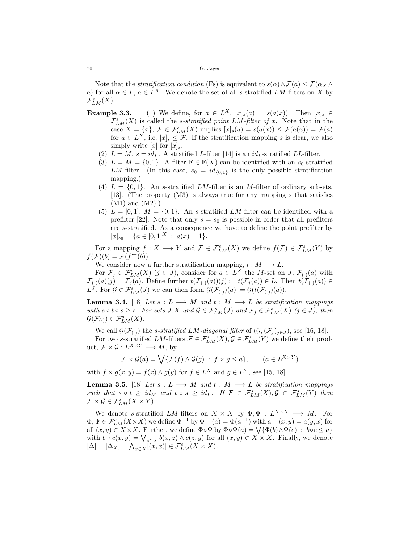Note that the *stratification condition* (Fs) is equivalent to  $s(\alpha) \wedge \mathcal{F}(\alpha) \leq \mathcal{F}(\alpha_X \wedge$ a) for all  $\alpha \in L$ ,  $a \in L^X$ . We denote the set of all s-stratified LM-filters on X by  $\mathcal{F}_{LM}^s(X).$ 

- **Example 3.3.** (1) We define, for  $a \in L^X$ ,  $[x]_s(a) = s(a(x))$ . Then  $[x]_s \in$  $\mathcal{F}_{LM}^{s}(X)$  is called the *s*-stratified point LM-filter of x. Note that in the case  $X = \{x\}, \mathcal{F} \in \mathcal{F}_{LM}^s(X)$  implies  $[x]_s(a) = s(a(x)) \leq \mathcal{F}(a(x)) = \mathcal{F}(a)$ for  $a \in L^X$ , i.e.  $[x]_s \leq \mathcal{F}$ . If the stratification mapping s is clear, we also simply write  $[x]$  for  $[x]_s$ .
	- (2)  $L = M$ ,  $s = id_L$ . A stratified L-filter [14] is an  $id_L$ -stratified LL-filter.
	- (3)  $L = M = \{0, 1\}$ . A filter  $\mathbb{F} \in \mathbb{F}(X)$  can be identified with an  $s_0$ -stratified LM-filter. (In this case,  $s_0 = id_{\{0,1\}}$  is the only possible stratification mapping.)
	- (4)  $L = \{0, 1\}$ . An s-stratified LM-filter is an M-filter of ordinary subsets, [13]. (The property (M3) is always true for any mapping s that satisfies (M1) and (M2).)
	- (5)  $L = [0, 1], M = \{0, 1\}.$  An s-stratified LM-filter can be identified with a prefilter [22]. Note that only  $s = s_0$  is possible in order that all prefilters are s-stratified. As a consequence we have to define the point prefilter by  $[x]_{s_0} = \{a \in [0,1]^X : a(x) = 1\}.$

For a mapping  $f: X \longrightarrow Y$  and  $\mathcal{F} \in \mathcal{F}_{LM}^s(X)$  we define  $f(\mathcal{F}) \in \mathcal{F}_{LM}^s(Y)$  by  $f(\mathcal{F})(b) = \mathcal{F}(f^{\leftarrow}(b)).$ 

We consider now a further stratification mapping,  $t : M \longrightarrow L$ .

For  $\mathcal{F}_j \in \mathcal{F}_{LM}^s(X)$   $(j \in J)$ , consider for  $a \in L^X$  the M-set on J,  $\mathcal{F}_{(\cdot)}(a)$  with  $\mathcal{F}_{(\cdot)}(a)(j) = \mathcal{F}_j(a)$ . Define further  $t(\mathcal{F}_{(\cdot)}(a))(j) := t(\mathcal{F}_j(a)) \in L$ . Then  $t(\mathcal{F}_{(\cdot)}(a)) \in L$  $L^J$ . For  $\mathcal{G} \in \mathcal{F}_{LM}^s(J)$  we can then form  $\mathcal{G}(\mathcal{F}_{(\cdot)})(a) := \mathcal{G}(t(\mathcal{F}_{(\cdot)})(a)).$ 

**Lemma 3.4.** [18] Let  $s: L \longrightarrow M$  and  $t: M \longrightarrow L$  be stratification mappings with  $s \circ t \circ s \geq s$ . For sets  $J, X$  and  $\mathcal{G} \in \mathcal{F}_{LM}^s(J)$  and  $\mathcal{F}_j \in \mathcal{F}_{LM}^s(X)$   $(j \in J)$ , then  $\mathcal{G}(\mathcal{F}_{(\cdot)}) \in \mathcal{F}_{LM}^s(X).$ 

We call  $\mathcal{G}(\mathcal{F}_{(\cdot)})$  the s-stratified LM-diagonal filter of  $(\mathcal{G},(\mathcal{F}_j)_{j\in J})$ , see [16, 18]. For two s-stratified  $LM$ -filters  $\mathcal{F} \in \mathcal{F}^s_{LM}(X), \mathcal{G} \in \mathcal{F}^s_{LM}(Y)$  we define their product,  $\mathcal{F} \times \mathcal{G}: L^{X \times Y} \longrightarrow M$ , by

$$
\mathcal{F} \times \mathcal{G}(a) = \bigvee \{ \mathcal{F}(f) \wedge \mathcal{G}(g) : f \times g \le a \}, \qquad (a \in L^{X \times Y})
$$

with  $f \times g(x, y) = f(x) \wedge g(y)$  for  $f \in L^X$  and  $g \in L^Y$ , see [15, 18].

**Lemma 3.5.** [18] Let  $s: L \longrightarrow M$  and  $t: M \longrightarrow L$  be stratification mappings such that  $s \circ t \geq id_M$  and  $t \circ s \geq id_L$ . If  $\mathcal{F} \in \mathcal{F}_{LM}^s(X), \mathcal{G} \in \mathcal{F}_{LM}^s(Y)$  then  $\mathcal{F} \times \mathcal{G} \in \mathcal{F}_{LM}^s(X \times Y).$ 

We denote s-stratified LM-filters on  $X \times X$  by  $\Phi, \Psi : L^{X \times X} \longrightarrow M$ . For  $\Phi, \Psi \in \mathcal{F}_{LM}^s(X \times X)$  we define  $\Phi^{-1}$  by  $\Phi^{-1}(a) = \Phi(a^{-1})$  with  $a^{-1}(x, y) = a(y, x)$  for all  $(x, y) \in X \times X$ . Further, we define  $\Phi \circ \Psi$  by  $\Phi \circ \Psi(a) = \bigvee {\Phi(b) \land \Psi(c)} : b \circ c \leq a$ with  $b \circ c(x, y) = \bigvee_{z \in X} b(x, z) \land c(z, y)$  for all  $(x, y) \in X \times X$ . Finally, we denote  $[\Delta] = [\Delta_X] = \bigwedge_{x \in X} [(\overline{x}, x)] \in \mathcal{F}_{LM}^s(X \times X).$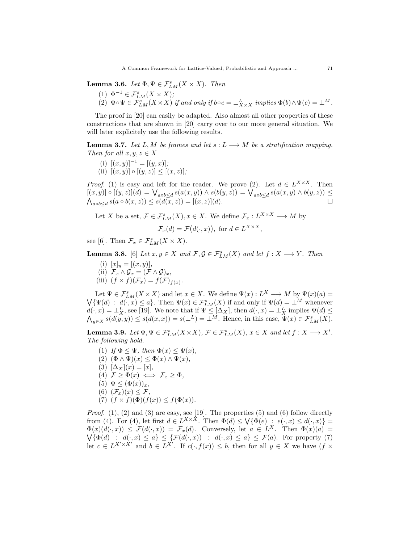**Lemma 3.6.** Let  $\Phi, \Psi \in \mathcal{F}_{LM}^s(X \times X)$ . Then

- (1)  $\Phi^{-1} \in \mathcal{F}_{LM}^s(X \times X);$
- (2)  $\Phi \circ \Psi \in \mathcal{F}_{LM}^s(X \times X)$  if and only if  $b \circ c = \bot_{X \times X}^L$  implies  $\Phi(b) \wedge \Psi(c) = \bot^M$ .

The proof in [20] can easily be adapted. Also almost all other properties of these constructions that are shown in [20] carry over to our more general situation. We will later explicitely use the following results.

**Lemma 3.7.** Let L, M be frames and let  $s: L \longrightarrow M$  be a stratification mapping. Then for all  $x, y, z \in X$ 

(i)  $[(x, y)]^{-1} = [(y, x)];$ (ii)  $[(x, y)] \circ [(y, z)] \le [(x, z)]$ ;

*Proof.* (1) is easy and left for the reader. We prove (2). Let  $d \in L^{X \times X}$ . Then  $[(x, y)] \circ [(y, z)](d) = \bigvee_{a \circ b \leq d} s(a(x, y)) \land s(b(y, z)) = \bigvee_{a \circ b \leq d} s(a(x, y) \land b(y, z)) \leq$  $\bigwedge_{a \circ b \le d} s(a \circ b(x, z)) \le s(d(\overline{x}, z)) = [(x, z)](d).$ 

Let X be a set,  $\mathcal{F} \in \mathcal{F}_{LM}^s(X)$ ,  $x \in X$ . We define  $\mathcal{F}_x : L^{X \times X} \longrightarrow M$  by

$$
\mathcal{F}_x(d) = \mathcal{F}\big(d(\cdot, x)\big), \text{ for } d \in L^{X \times X},
$$

see [6]. Then  $\mathcal{F}_x \in \mathcal{F}_{LM}^s(X \times X)$ .

**Lemma 3.8.** [6] Let  $x, y \in X$  and  $\mathcal{F}, \mathcal{G} \in \mathcal{F}_{LM}^s(X)$  and let  $f : X \longrightarrow Y$ . Then

- (i)  $[x]_y = [(x, y)],$
- (ii)  $\mathcal{F}_x \wedge \mathcal{G}_x = (\mathcal{F} \wedge \mathcal{G})_x$ ,
- (iii)  $(f \times f)(\mathcal{F}_x) = f(\mathcal{F})_{f(x)}$ .

Let  $\Psi \in \mathcal{F}_{LM}^s(X \times X)$  and let  $x \in X$ . We define  $\Psi(x) : L^X \longrightarrow M$  by  $\Psi(x)(a) =$  $\bigvee \{\Psi(d) : d(\cdot, x) \leq a\}.$  Then  $\Psi(x) \in \mathcal{F}_{LM}^s(X)$  if and only if  $\Psi(d) = \perp^M$  whenever  $d(\cdot, x) = \perp_X^L$ , see [19]. We note that if  $\Psi \leq [\Delta_X]$ , then  $d(\cdot, x) = \perp_X^L$  implies  $\Psi(d) \leq$  $\bigwedge_{y\in X} s(d(y,y)) \leq s(d(x,x)) = s(\perp^L) = \perp^M$ . Hence, in this case,  $\Psi(x) \in \mathcal{F}_{LM}^s(X)$ .

**Lemma 3.9.** Let  $\Phi, \Psi \in \mathcal{F}_{LM}^s(X \times X)$ ,  $\mathcal{F} \in \mathcal{F}_{LM}^s(X)$ ,  $x \in X$  and let  $f : X \longrightarrow X'$ . The following hold.

- (1) If  $\Phi \leq \Psi$ , then  $\Phi(x) \leq \Psi(x)$ ,
- (2)  $(\Phi \wedge \Psi)(x) \leq \Phi(x) \wedge \Psi(x)$ ,
- (3)  $[\Delta_X](x) = [x],$
- (4)  $\mathcal{F} \geq \Phi(x) \iff \mathcal{F}_x \geq \Phi$ ,
- (5)  $\Phi \leq (\Phi(x))_x$ ,
- (6)  $(\mathcal{F}_x)(x) \leq \mathcal{F}_y$
- (7)  $(f \times f)(\Phi)(f(x)) \leq f(\Phi(x)).$

*Proof.* (1), (2) and (3) are easy, see [19]. The properties (5) and (6) follow directly from (4). For (4), let first  $d \in L^{X \times X}$ . Then  $\Phi(d) \leq \bigvee {\Phi(e) : e(\cdot, x) \leq d(\cdot, x)}$  $\Phi(x)(d(\cdot,x)) \leq \mathcal{F}(d(\cdot,x)) = \mathcal{F}_x(d)$ . Conversely, let  $a \in L^X$ . Then  $\Phi(x)(a) =$  $\bigvee{\{\Phi(d) : d(\cdot, x) \leq a\}} \leq {\{\mathcal{F}(d(\cdot, x)) \ : d(\cdot, x) \leq a\}} \leq \mathcal{F}(a)$ . For property (7) let  $c \in L^{X' \times X'}$  and  $b \in L^{X'}$ . If  $c(\cdot, f(x)) \leq b$ , then for all  $y \in X$  we have  $(f \times f(x))$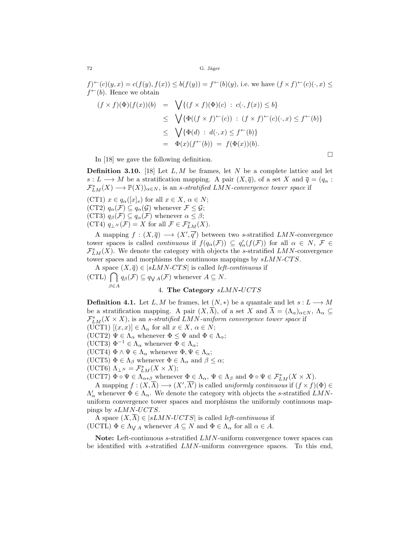$f^{\prime\prime}(c)(y,x) = c(f(y), f(x)) \leq b(f(y)) = f^{\leftarrow}(b)(y)$ , i.e. we have  $(f \times f)^{\leftarrow}(c)(\cdot, x) \leq f^{\prime}(c)(\cdot, x)$  $f^{\leftarrow}(b)$ . Hence we obtain

$$
(f \times f)(\Phi)(f(x))(b) = \sqrt{\{(f \times f)(\Phi)(c) : c(\cdot, f(x)) \le b\}}\leq \sqrt{\{\Phi((f \times f)^{\leftarrow}(c)) : (f \times f)^{\leftarrow}(c)(\cdot, x) \le f^{\leftarrow}(b)\}}\leq \sqrt{\{\Phi(d) : d(\cdot, x) \le f^{\leftarrow}(b)\}}= \Phi(x)(f^{\leftarrow}(b)) = f(\Phi(x))(b).
$$

In [18] we gave the following definition.

**Definition 3.10.** [18] Let  $L, M$  be frames, let N be a complete lattice and let  $s: L \longrightarrow M$  be a stratification mapping. A pair  $(X, \overline{q})$ , of a set X and  $\overline{q} = (q_{\alpha} :$  $\mathcal{F}_{LM}^s(X) \longrightarrow \mathbb{P}(X)_{\alpha \in N}$ , is an s-stratified LMN-convergence tower space if

(CT1)  $x \in q_\alpha([x]_s)$  for all  $x \in X$ ,  $\alpha \in N$ ; (CT2)  $q_{\alpha}(\mathcal{F}) \subseteq q_{\alpha}(\mathcal{G})$  whenever  $\mathcal{F} \leq \mathcal{G}$ ; (CT3)  $q_\beta(\mathcal{F}) \subseteq q_\alpha(\mathcal{F})$  whenever  $\alpha \leq \beta$ ; (CT4)  $q_{\perp^N}(\mathcal{F}) = X$  for all  $\mathcal{F} \in \mathcal{F}_{LM}^s(X)$ .

A mapping  $f: (X, \overline{q}) \longrightarrow (X', \overline{q'})$  between two s-stratified LMN-convergence tower spaces is called *continuous* if  $f(q_\alpha(\mathcal{F})) \subseteq q'_\alpha(f(\mathcal{F}))$  for all  $\alpha \in N$ ,  $\mathcal{F} \in$  $\mathcal{F}_{LM}^s(X)$ . We denote the category with objects the s-stratified LMN-convergence tower spaces and morphisms the continuous mappings by  $sLMN-CTS$ .

A space  $(X, \overline{q}) \in |sLMN-CTS|$  is called *left-continuous* if

 $(\text{CTL}) \bigcap q_{\beta}(\mathcal{F}) \subseteq q_{\bigvee A}(\mathcal{F})$  whenever  $A \subseteq N$ .  $\beta \in A$ 

# 4. The Category  $sLMN-UCTS$

**Definition 4.1.** Let L, M be frames, let  $(N, *)$  be a quantale and let  $s: L \longrightarrow M$ be a stratification mapping. A pair  $(X,\overline{\Lambda})$ , of a set X and  $\overline{\Lambda} = (\Lambda_{\alpha})_{\alpha \in N}$ ,  $\Lambda_{\alpha} \subseteq$  $\mathcal{F}_{LM}^{s}(X \times X)$ , is an *s*-stratified LMN-uniform convergence tower space if

(UCT1)  $[(x, x)] \in \Lambda_{\alpha}$  for all  $x \in X, \alpha \in N$ ;

(UCT2)  $\Psi \in \Lambda_{\alpha}$  whenever  $\Phi \leq \Psi$  and  $\Phi \in \Lambda_{\alpha}$ ;

(UCT3)  $\Phi^{-1} \in \Lambda_{\alpha}$  whenever  $\Phi \in \Lambda_{\alpha}$ ;

(UCT4)  $\Phi \wedge \Psi \in \Lambda_{\alpha}$  whenever  $\Phi, \Psi \in \Lambda_{\alpha}$ ;

(UCT5)  $\Phi \in \Lambda_{\beta}$  whenever  $\Phi \in \Lambda_{\alpha}$  and  $\beta \leq \alpha$ ;

(UCT6)  $\Lambda_{\perp^N} = \mathcal{F}_{LM}^s(X \times X);$ 

(UCT7)  $\Phi \circ \Psi \in \Lambda_{\alpha * \beta}$  whenever  $\Phi \in \Lambda_{\alpha}, \Psi \in \Lambda_{\beta}$  and  $\Phi \circ \Psi \in \mathcal{F}_{LM}^s(X \times X)$ .

A mapping  $f:(X,\overline{\Lambda})\longrightarrow (X',\overline{\Lambda'})$  is called uniformly continuous if  $(f\times f)(\Phi)\in$  $\Lambda'_{\alpha}$  whenever  $\Phi \in \Lambda_{\alpha}$ . We denote the category with objects the s-stratified LMNuniform convergence tower spaces and morphisms the uniformly continuous mappings by  $sLMN-UCTS$ .

A space  $(X,\overline{\Lambda}) \in |sLMN-UCTS|$  is called *left-continuous* if (UCTL)  $\Phi \in \Lambda_{\bigvee A}$  whenever  $A \subseteq N$  and  $\Phi \in \Lambda_{\alpha}$  for all  $\alpha \in A$ .

Note: Left-continuous  $s$ -stratified  $LMN$ -uniform convergence tower spaces can be identified with s-stratified  $LMN$ -uniform convergence spaces. To this end,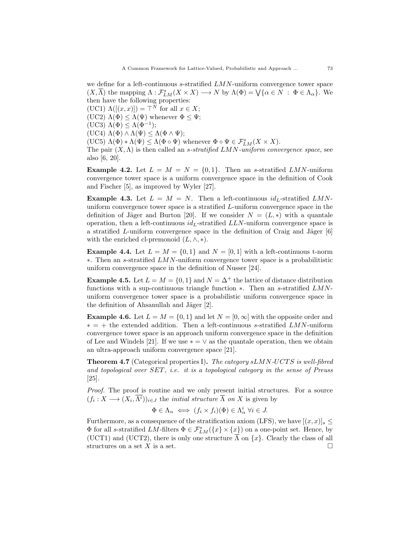we define for a left-continuous s-stratified  $LMN$ -uniform convergence tower space  $(X,\overline{\Lambda})$  the mapping  $\Lambda: \mathcal{F}_{LM}^s(X \times X) \longrightarrow N$  by  $\Lambda(\Phi) = \bigvee \{\alpha \in N \; : \; \Phi \in \Lambda_\alpha\}.$  We then have the following properties: (UC1)  $\Lambda([x, x]) = \top^N$  for all  $x \in X$ ;

(UC2)  $\Lambda(\Phi) \leq \Lambda(\Psi)$  whenever  $\Phi \leq \Psi$ ;

(UC3)  $\Lambda(\Phi) \leq \Lambda(\Phi^{-1});$ 

(UC4)  $\Lambda(\Phi) \wedge \Lambda(\Psi) \leq \Lambda(\Phi \wedge \Psi);$ 

(UC5)  $\Lambda(\Phi) * \Lambda(\Psi) \leq \Lambda(\Phi \circ \Psi)$  whenever  $\Phi \circ \Psi \in \mathcal{F}_{LM}^s(X \times X)$ .

The pair  $(X, \Lambda)$  is then called an *s*-stratified LMN-uniform convergence space, see also [6, 20].

**Example 4.2.** Let  $L = M = N = \{0, 1\}$ . Then an s-stratified LMN-uniform convergence tower space is a uniform convergence space in the definition of Cook and Fischer [5], as improved by Wyler [27].

**Example 4.3.** Let  $L = M = N$ . Then a left-continuous  $id_L$ -stratified LMNuniform convergence tower space is a stratified L-uniform convergence space in the definition of Jäger and Burton [20]. If we consider  $N = (L, *)$  with a quantale operation, then a left-continuous  $id_L$ -stratified  $LLN$ -uniform convergence space is a stratified L-uniform convergence space in the definition of Craig and Jäger  $[6]$ with the enriched cl-premonoid  $(L, \wedge, *)$ .

**Example 4.4.** Let  $L = M = \{0, 1\}$  and  $N = [0, 1]$  with a left-continuous t-norm ∗. Then an s-stratified LMN-uniform convergence tower space is a probabilitistic uniform convergence space in the definition of Nusser [24].

**Example 4.5.** Let  $L = M = \{0, 1\}$  and  $N = \Delta^+$  the lattice of distance distribution functions with a sup-continuous triangle function ∗. Then an s-stratified LMNuniform convergence tower space is a probabilistic uniform convergence space in the definition of Ahsanullah and Jäger  $[2]$ .

**Example 4.6.** Let  $L = M = \{0, 1\}$  and let  $N = [0, \infty]$  with the opposite order and  $* = +$  the extended addition. Then a left-continuous s-stratified LMN-uniform convergence tower space is an approach uniform convergence space in the definition of Lee and Windels [21]. If we use  $* = \vee$  as the quantale operation, then we obtain an ultra-approach uniform convergence space [21].

**Theorem 4.7** (Categorical properties I). The category  $sLMN-UCTS$  is well-fibred and topological over SET, i.e. it is a topological category in the sense of Preuss [25].

Proof. The proof is routine and we only present initial structures. For a source  $(f_i: X \longrightarrow (X_i, \Lambda^i))_{i \in J}$  the *initial structure*  $\overline{\Lambda}$  *on* X is given by

$$
\Phi \in \Lambda_{\alpha} \iff (f_i \times f_i)(\Phi) \in \Lambda_{\alpha}^i \; \forall i \in J.
$$

Furthermore, as a consequence of the stratification axiom (LFS), we have  $[(x, x)]_s \leq$  $\Phi$  for all s-stratified  $LM$ -filters  $\Phi \in \mathcal{F}^s_{LM}(\{x\} \times \{x\})$  on a one-point set. Hence, by (UCT1) and (UCT2), there is only one structure  $\overline{\Lambda}$  on  $\{x\}$ . Clearly the class of all structures on a set X is a set.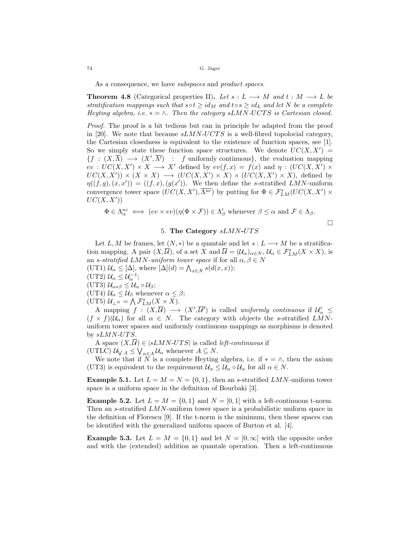As a consequence, we have *subspaces* and *product spaces*.

**Theorem 4.8** (Categorical properties II). Let  $s: L \longrightarrow M$  and  $t: M \longrightarrow L$  be stratification mappings such that  $s \circ t \geq id_M$  and  $t \circ s \geq id_L$  and let N be a complete Heyting algebra, i.e.  $* = \wedge$ . Then the category sLMN-UCTS is Cartesian closed.

Proof. The proof is a bit tedious but can in principle be adapted from the proof in [20]. We note that because  $sLMN-UCTS$  is a well-fibred topolocial category, the Cartesian closedness is equivalent to the existence of function spaces, see [1]. So we simply state these function space structures. We denote  $UC(X, X') =$  ${f : (X, \overline{\Lambda}) \longrightarrow (X', \overline{\Lambda'}) : f \text{ uniformly continuous}, \text{ the evaluation mapping}$  $ev: UC(X, X') \times X \longrightarrow X'$  defined by  $ev(f, x) = f(x)$  and  $\eta: (UC(X, X') \times Y)$  $UC(X, X')\times (X \times X) \longrightarrow (UC(X, X') \times X) \times (UC(X, X') \times X)$ , defined by  $\eta((f,g),(x,x')) = ((f,x),(g(x'))$ . We then define the s-stratified LMN-uniform convergence tower space  $(UC(X, X'), \overline{\Lambda^{uc}})$  by putting for  $\Phi \in \mathcal{F}_{LM}^s(UC(X, X') \times$  $UC(X, X')$ 

$$
\Phi \in \Lambda^{uc}_{\alpha} \iff (ev \times ev)(\eta(\Phi \times \mathcal{F})) \in \Lambda'_{\beta} \text{ whenever } \beta \leq \alpha \text{ and } \mathcal{F} \in \Lambda_{\beta}.
$$

 $\Box$ 

### 5. The Category  $sLMN-UTS$

Let L, M be frames, let  $(N, *)$  be a quantale and let  $s: L \longrightarrow M$  be a stratification mapping. A pair  $(X,\overline{\mathcal{U}})$ , of a set X and  $\overline{\mathcal{U}} = (\mathcal{U}_{\alpha})_{\alpha \in N}$ ,  $\mathcal{U}_{\alpha} \in \mathcal{F}_{LM}^s(X \times X)$ , is an s-stratified LMN-uniform tower space if for all  $\alpha, \beta \in N$ (UT1)  $\mathcal{U}_{\alpha} \leq [\Delta]$ , where  $[\Delta](d) = \bigwedge_{x \in X} s(d(x, x));$ (UT2)  $\mathcal{U}_{\alpha} \leq \mathcal{U}_{\alpha}^{-1}$ ; (UT3)  $\mathcal{U}_{\alpha*\beta} \leq \mathcal{U}_{\alpha} \circ \mathcal{U}_{\beta};$ (UT4)  $\mathcal{U}_{\alpha} \leq \mathcal{U}_{\beta}$  whenever  $\alpha \leq \beta$ ;

$$
(\mathrm{UT5})\,\,\mathcal{U}_{\perp^N} = \bigwedge \mathcal{F}_{LM}^s(X \times X).
$$

A mapping  $f : (X,\overline{U}) \longrightarrow (X',\overline{U'})$  is called uniformly continuous if  $\mathcal{U}'_{\alpha} \leq$  $(f \times f)(U_{\alpha})$  for all  $\alpha \in N$ . The category with objects the s-stratified LMNuniform tower spaces and uniformly continuous mappings as morphisms is denoted by  $sLMN-UTS$ .

A space  $(X,\overline{\mathcal{U}}) \in |sLMN-UTS|$  is called *left-continuous* if (UTLC)  $\mathcal{U}_{\bigvee A} \leq \bigvee_{\alpha \in A} \mathcal{U}_{\alpha}$  whenever  $A \subseteq N$ .

We note that if N is a complete Heyting algebra, i.e. if  $* = \wedge$ , then the axiom (UT3) is equivalent to the requirement  $\mathcal{U}_{\alpha} \leq \mathcal{U}_{\alpha} \circ \mathcal{U}_{\alpha}$  for all  $\alpha \in N$ .

**Example 5.1.** Let  $L = M = N = \{0, 1\}$ , then an *s*-stratified LMN-uniform tower space is a uniform space in the definition of Bourbaki [3].

**Example 5.2.** Let  $L = M = \{0, 1\}$  and  $N = [0, 1]$  with a left-continuous t-norm. Then an s-stratified LMN-uniform tower space is a probabilistic uniform space in the definition of Florescu [9]. If the t-norm is the minimum, then these spaces can be identified with the generalized uniform spaces of Burton et al. [4].

**Example 5.3.** Let  $L = M = \{0, 1\}$  and let  $N = [0, \infty]$  with the opposite order and with the (extended) addition as quantale operation. Then a left-continuous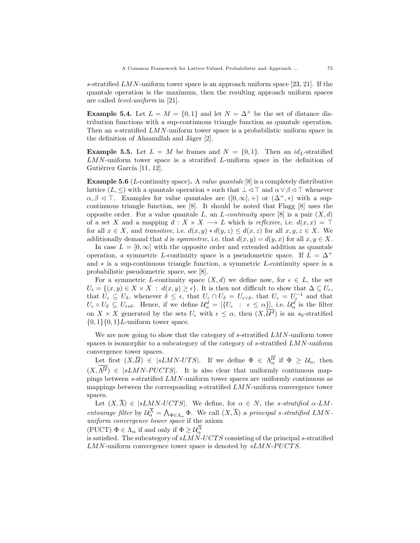s-stratified  $LMN$ -uniform tower space is an approach uniform space [23, 21]. If the quantale operation is the maximum, then the resulting approach uniform spaces are called level-uniform in [21].

Example 5.4. Let  $L = M = \{0, 1\}$  and let  $N = \Delta^+$  be the set of distance distribution functions with a sup-continuous triangle function as quantale operation. Then an s-stratified LMN-uniform tower space is a probabilistic uniform space in the definition of Ahsanullah and Jäger  $[2]$ .

**Example 5.5.** Let  $L = M$  be frames and  $N = \{0, 1\}$ . Then an id<sub>L</sub>-stratified LMN-uniform tower space is a stratified L-uniform space in the definition of Gutiérrez García [11, 12].

**Example 5.6** (*L*-continuity space). A *value quantale* [8] is a completely distributive lattice (L,  $\leq$ ) with a quantale operation  $*$  such that  $\perp \leq \top$  and  $\alpha \vee \beta \leq \top$  whenever  $\alpha, \beta \leq \top$ . Examples for value quantales are  $([0, \infty], +)$  or  $(\Delta^+, *)$  with a supcontinuous triangle function, see [8]. It should be noted that Flagg [8] uses the opposite order. For a value quantale L, an L-continuity space  $[8]$  is a pair  $(X, d)$ of a set X and a mapping  $d : X \times X \longrightarrow L$  which is reflexive, i.e.  $d(x, x) = \top$ for all  $x \in X$ , and transitive, i.e.  $d(x, y) * d(y, z) \leq d(x, z)$  for all  $x, y, z \in X$ . We additionally demand that d is symmetric, i.e. that  $d(x, y) = d(y, x)$  for all  $x, y \in X$ .

In case  $L = [0, \infty]$  with the opposite order and extended addition as quantale operation, a symmetric L-continuity space is a pseudometric space. If  $L = \Delta^+$ and ∗ is a sup-continuous triangle function, a symmetric L-continuity space is a probabilistic pseudometric space, see [8].

For a symmetric L-continuity space  $(X, d)$  we define now, for  $\epsilon \in L$ , the set  $U_{\epsilon} = \{(x, y) \in X \times X : d(x, y) \geq \epsilon\}.$  It is then not difficult to show that  $\Delta \subseteq U_{\epsilon}$ , that  $U_{\epsilon} \subseteq U_{\delta}$ , whenever  $\delta \leq \epsilon$ , that  $U_{\epsilon} \cap U_{\delta} = U_{\epsilon} \setminus \delta$ , that  $U_{\epsilon} = U_{\epsilon}^{-1}$  and that  $U_{\epsilon} \circ U_{\delta} \subseteq U_{\epsilon \ast \delta}$ . Hence, if we define  $\mathcal{U}_{\alpha}^{d} = [\{U_{\epsilon} : \epsilon \leq \alpha\}],$  i.e.  $\mathcal{U}_{\alpha}^{d}$  is the filter on  $X \times X$  generated by the sets  $U_{\epsilon}$  with  $\epsilon \leq \alpha$ , then  $(X, \overline{\mathcal{U}^d})$  is an s<sub>0</sub>-stratified  $\{0,1\}\{0,1\}$ L-uniform tower space.

We are now going to show that the category of  $s$ -stratified  $LMN$ -uniform tower spaces is isomorphic to a subcategory of the category of s-stratified LMN-uniform convergence tower spaces.

Let first  $(X,\overline{\mathcal{U}}) \in |sLMN-UTS|$ . If we define  $\Phi \in \Lambda^{\mathcal{U}}_{\alpha}$  if  $\Phi \geq \mathcal{U}_{\alpha}$ , then  $(X,\overline{\Lambda^{\overline{u}}}) \in \cong \cong \cong \cong \cong \mathbb{Z}$ . It is also clear that uniformly continuous mappings between s-stratified LMN-uniform tower spaces are uniformly continuous as mappings between the corresponding s-stratified  $LMN$ -uniform convergence tower spaces.

Let  $(X,\overline{\Lambda}) \in |sLMN\text{-}UCTS|$ . We define, for  $\alpha \in N$ , the s-stratified  $\alpha$ -LMentourage filter by  $\mathcal{U}_{\alpha}^{\Lambda} = \bigwedge_{\Phi \in \Lambda_{\alpha}} \Phi$ . We call  $(X, \overline{\Lambda})$  a principal s-stratified LMNuniform convergence tower space if the axiom

(PUCT)  $\Phi \in \Lambda_{\alpha}$  if and only if  $\Phi \geq \mathcal{U}_{\alpha}^{\Lambda}$ 

is satisfied. The subcategory of  $sLMN-UCTS$  consisting of the principal s-stratified  $LMN$ -uniform convergence tower space is denoted by  $sLMN$ - $P UCTS$ .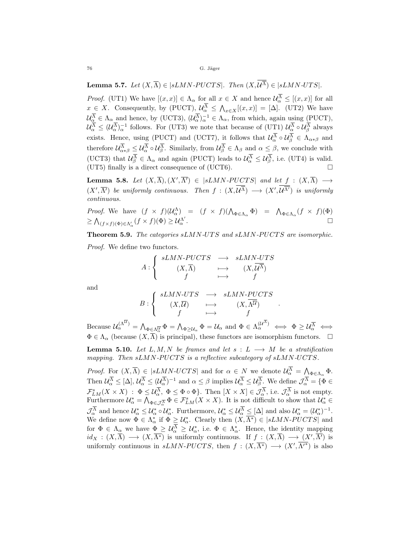**Lemma 5.7.** Let  $(X,\overline{\Lambda}) \in |sLMN\text{-}PUCTS|$ . Then  $(X,\overline{\mathcal{U}^{\Lambda}}) \in |sLMN\text{-}UTS|$ .

*Proof.* (UT1) We have  $[(x, x)] \in \Lambda_{\alpha}$  for all  $x \in X$  and hence  $\mathcal{U}_{\alpha}^{\Lambda} \leq [(x, x)]$  for all  $x \in X$ . Consequently, by (PUCT),  $\mathcal{U}_{\alpha}^{\Lambda} \leq \bigwedge_{x \in X} [(x, x)] = [\Delta]$ . (UT2) We have  $\mathcal{U}_{\alpha}^{\Lambda} \in \Lambda_{\alpha}$  and hence, by (UCT3),  $(\mathcal{U}_{\alpha}^{\Lambda})_{\alpha}^{-1} \in \Lambda_{\alpha}$ , from which, again using (PUCT),  $\mathcal{U}_{\alpha}^{\Lambda} \leq (\mathcal{U}_{\alpha}^{\Lambda})_{\alpha}^{-1}$  follows. For (UT3) we note that because of (UT1)  $\mathcal{U}_{\alpha}^{\Lambda} \circ \mathcal{U}_{\beta}^{\Lambda}$  always exists. Hence, using (PUCT) and (UCT7), it follows that  $\mathcal{U}_{\alpha}^{\Lambda} \circ \mathcal{U}_{\beta}^{\Lambda} \in \Lambda_{\alpha * \beta}$  and therefore  $\mathcal{U}_{\alpha\ast\beta}^{\Lambda} \leq \mathcal{U}_{\alpha}^{\Lambda} \circ \mathcal{U}_{\beta}^{\Lambda}$ . Similarly, from  $\mathcal{U}_{\beta}^{\Lambda} \in \Lambda_{\beta}$  and  $\alpha \leq \beta$ , we conclude with (UCT3) that  $\mathcal{U}_{\beta}^{\Lambda} \in \Lambda_{\alpha}$  and again (PUCT) leads to  $\mathcal{U}_{\alpha}^{\Lambda} \leq \mathcal{U}_{\beta}^{\Lambda}$ , i.e. (UT4) is valid. (UT5) finally is a direct consequence of (UCT6).

**Lemma 5.8.** Let  $(X,\overline{\Lambda}), (X',\overline{\Lambda'}) \in |sLMN-PUCTS|$  and let  $f : (X,\overline{\Lambda}) \longrightarrow$  $(X',\overline{\Lambda'})$  be uniformly continuous. Then  $f:(X,\mathcal{U}^{\overline{\Lambda}})\longrightarrow (X',\mathcal{U}^{\overline{\Lambda'}})$  is uniformly continuous.

*Proof.* We have  $(f \times f)(\mathcal{U}_{\alpha}^{\Lambda}) = (f \times f)(\Lambda_{\Phi \in \Lambda_{\alpha}} \Phi) = \Lambda_{\Phi \in \Lambda_{\alpha}} (f \times f)(\Phi)$  $\geq \bigwedge_{(f \times f)(\Phi) \in \Lambda'_\alpha} (f \times f)(\Phi) \geq \mathcal{U}^{\Lambda'}_\alpha$  $\alpha'$ .

Theorem 5.9. The categories sLMN-UTS and sLMN-PUCTS are isomorphic.

Proof. We define two functors.

$$
A: \left\{ \begin{array}{ccc} sLMN\text{-}PUCTS & \longrightarrow & sLMN\text{-}UTS \\ (X,\overline{\Lambda}) & \longmapsto & (X,\overline{\mathcal{U}^{\overline{\Lambda}}}) \\ f & \longmapsto & f \end{array} \right.
$$

and

$$
B: \left\{ \begin{array}{ccc} sLMN-UTS & \longrightarrow & sLMN-PUCTS \\ (X,\overline{U}) & \longmapsto & (X,\overline{\Lambda^U}) \\ f & \longmapsto & f \end{array} \right.
$$

.

Because  $\mathcal{U}_{\alpha}^{(\Lambda^{\mathcal{U}})} = \bigwedge_{\Phi \in \Lambda_{\alpha}^{\mathcal{U}}} \Phi = \bigwedge_{\Phi \geq \mathcal{U}_{\alpha}} \Phi = \mathcal{U}_{\alpha}$  and  $\Phi \in \Lambda_{\alpha}^{(\mathcal{U}^{\Lambda})} \iff \Phi \geq \mathcal{U}_{\alpha}^{\overline{\Lambda}} \iff$  $\Phi \in \Lambda_{\alpha}$  (because  $(X,\overline{\Lambda})$  is principal), these functors are isomorphism functors.  $\square$ 

**Lemma 5.10.** Let L, M, N be frames and let  $s: L \longrightarrow M$  be a stratification mapping. Then  $sLMN-PUCTS$  is a reflective subcategory of  $sLMN-UCTS$ .

*Proof.* For  $(X,\overline{\Lambda}) \in |sLMN-UCTS|$  and for  $\alpha \in N$  we denote  $\mathcal{U}^{\Lambda}_{\alpha} = \Lambda_{\Phi \in \Lambda_{\alpha}} \Phi$ . Then  $\mathcal{U}_{\alpha}^{\Lambda} \leq [\Delta], \mathcal{U}_{\alpha}^{\Lambda} \leq (\mathcal{U}_{\alpha}^{\Lambda})^{-1}$  and  $\alpha \leq \beta$  implies  $\mathcal{U}_{\alpha}^{\Lambda} \leq \mathcal{U}_{\beta}^{\Lambda}$ . We define  $\mathcal{J}_{\alpha}^{\Lambda} = \{ \Phi \in \mathcal{J}_{\alpha}^{\Lambda} \}$  $\mathcal{F}_{LM}^s(X \times X) : \Phi \leq \mathcal{U}_{\alpha}^{\Lambda}, \ \Phi \leq \Phi \circ \Phi$ . Then  $[X \times X] \in \mathcal{J}_{\alpha}^{\Lambda}$ , i.e.  $\mathcal{J}_{\alpha}^{\Lambda}$  is not empty. Furthermore  $\mathcal{U}_{\alpha}^* = \bigwedge_{\Phi \in \mathcal{J}_{\alpha}^{\overline{\Lambda}}} \Phi \in \mathcal{F}_{LM}^s(X \times X)$ . It is not difficult to show that  $\mathcal{U}_{\alpha}^* \in$  $\mathcal{J}_{\alpha}^{\Lambda}$  and hence  $\mathcal{U}_{\alpha}^{*} \leq \mathcal{U}_{\alpha}^{*} \circ \mathcal{U}_{\alpha}^{*}$ . Furthermore,  $\mathcal{U}_{\alpha}^{*} \leq \mathcal{U}_{\alpha}^{\Lambda} \leq [\Delta]$  and also  $\mathcal{U}_{\alpha}^{*} = (\mathcal{U}_{\alpha}^{*})^{-1}$ . We define now  $\Phi \in \Lambda_{\alpha}^*$  if  $\Phi \geq \mathcal{U}_{\alpha}^*$ . Clearly then  $(X, \overline{\Lambda^*}) \in |sLMN-PUCTS|$  and for  $\Phi \in \Lambda_{\alpha}$  we have  $\Phi \geq \mathcal{U}_{\alpha}^{\Lambda} \geq \mathcal{U}_{\alpha}^*$ , i.e.  $\Phi \in \Lambda_{\alpha}^*$ . Hence, the identity mapping  $id_X: (X,\overline{\Lambda}) \longrightarrow (X,\overline{\Lambda^*})$  is uniformly continuous. If  $f: (X,\overline{\Lambda}) \longrightarrow (X',\overline{\Lambda'})$  is uniformly continuous in  $sLMN-PUCTS$ , then  $f: (X, \overline{\Lambda^*}) \longrightarrow (X', \overline{\Lambda'^*})$  is also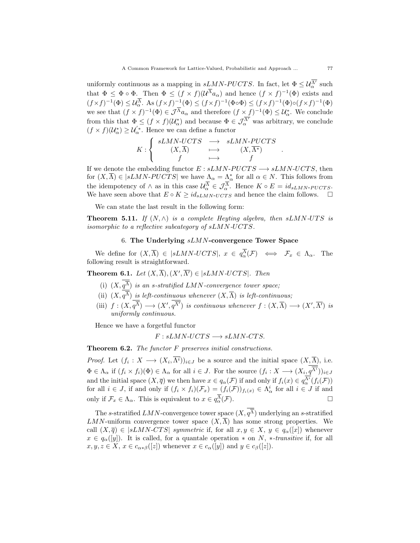uniformly continuous as a mapping in  $sLMN-PUCTS$ . In fact, let  $\Phi \leq \mathcal{U}_{\alpha}^{\overline{\Lambda'}}$  such that  $\Phi \leq \Phi \circ \Phi$ . Then  $\Phi \leq (f \times f)(\mathcal{U}^{\Lambda} a_{\alpha})$  and hence  $(f \times f)^{-1}(\Phi)$  exists and  $(f \times f)^{-1}(\Phi) \leq \mathcal{U}_{\alpha}^{\Lambda}$ . As  $(f \times f)^{-1}(\Phi) \leq (f \times f)^{-1}(\Phi \circ \Phi) \leq (f \times f)^{-1}(\Phi) \circ (f \times f)^{-1}(\Phi)$ we see that  $(f \times f)^{-1}(\Phi) \in \mathcal{J}^{\Lambda} a_{\alpha}$  and therefore  $(f \times f)^{-1}(\Phi) \leq \mathcal{U}_{\alpha}^*$ . We conclude from this that  $\Phi \le (f \times f)(\mathcal{U}_{\alpha}^*)$  and because  $\Phi \in \mathcal{J}_{\alpha}^{\overline{\Lambda'}}$  was arbitrary, we conclude  $(f \times f)(\mathcal{U}_{\alpha}^*) \geq \mathcal{U}_{\alpha}^{'*}$ . Hence we can define a functor

$$
K: \left\{ \begin{array}{ccc} sLMN-UCTS & \longrightarrow & sLMN-PUCTS \\ (X,\overline{\Lambda}) & \longmapsto & (X,\overline{\Lambda^*}) \\ f & \longmapsto & f \end{array} \right.
$$

If we denote the embedding functor  $E : \overline{S}LMN-P UCTS \longrightarrow \overline{S}LMN-UCTS$ , then for  $(X, \overline{\Lambda}) \in |sLMN-PUCTS|$  we have  $\Lambda_{\alpha} = \Lambda_{\alpha}^*$  for all  $\alpha \in N$ . This follows from the idempotency of  $\wedge$  as in this case  $\mathcal{U}^{\Lambda}_{\alpha} \in \mathcal{J}^{\Lambda}_{\alpha}$ . Hence  $K \circ E = id_{sLMN-PUCTS}$ . We have seen above that  $E \circ K \ge id_{sLMN-UCTS}$  and hence the claim follows.  $\square$ 

We can state the last result in the following form:

**Theorem 5.11.** If  $(N, \wedge)$  is a complete Heyting algebra, then sLMN-UTS is isomorphic to a reflective subcategory of  $sLMN-UCTS$ .

### 6. The Underlying  $sLMN$ -convergence Tower Space

We define for  $(X,\overline{\Lambda}) \in |sLMN\text{-}UCTS|$ ,  $x \in q_{\alpha}^{\Lambda}(\mathcal{F}) \iff \mathcal{F}_x \in \Lambda_{\alpha}$ . The following result is straightforward.

**Theorem 6.1.** Let  $(X, \overline{\Lambda}), (X', \overline{\Lambda'}) \in |\mathcal{sLMN}\text{-}UCTS|$ . Then

- (i)  $(X, q^{\Lambda})$  is an s-stratified LMN-convergence tower space;
- (ii)  $(X, q^{\Lambda})$  is left-continuous whenever  $(X, \overline{\Lambda})$  is left-continuous;
- (iii)  $f:(X,q^{\overline{\Lambda}})\longrightarrow (X',q^{\overline{\Lambda'}})$  is continuous whenever  $f:(X,\overline{\Lambda})\longrightarrow (X',\overline{\Lambda'})$  is uniformly continuous.

Hence we have a forgetful functor

$$
F: sLMN-UCTS \longrightarrow sLMN-CTS.
$$

Theorem 6.2. The functor F preserves initial constructions.

*Proof.* Let  $(f_i: X \longrightarrow (X_i, \Lambda^i))_{i \in J}$  be a source and the initial space  $(X, \overline{\Lambda})$ , i.e.  $\Phi \in \Lambda_{\alpha}$  if  $(f_i \times f_i)(\Phi) \in \Lambda_{\alpha}$  for all  $i \in J$ . For the source  $(f_i: X \longrightarrow (X_i, q^{\Lambda^i}))_{i \in J}$ and the initial space  $(X, \overline{q})$  we then have  $x \in q_\alpha(\mathcal{F})$  if and only if  $f_i(x) \in q_\alpha^{\Lambda^i}(f_i(\mathcal{F}))$ for all  $i \in J$ , if and only if  $(f_i \times f_i)(\mathcal{F}_x) = (f_i(\mathcal{F}))_{f_i(x)} \in \Lambda_\alpha^i$  for all  $i \in J$  if and only if  $\mathcal{F}_x \in \Lambda_\alpha$ . This is equivalent to  $x \in q_\alpha^{\overline{\Lambda}}(\mathcal{F})$ .

The s-stratified LMN-convergence tower space  $(X, q^{\Lambda})$  underlying an s-stratified  $LMN$ -uniform convergence tower space  $(X,\overline{\Lambda})$  has some strong properties. We call  $(X, \overline{q}) \in |sLMN-CTS|$  symmetric if, for all  $x, y \in X$ ,  $y \in q_{\alpha}([x])$  whenever  $x \in q_\alpha([y])$ . It is called, for a quantale operation  $*$  on N,  $*$ -transitive if, for all  $x, y, z \in X$ ,  $x \in c_{\alpha * \beta}([z])$  whenever  $x \in c_{\alpha}([y])$  and  $y \in c_{\beta}([z])$ .

.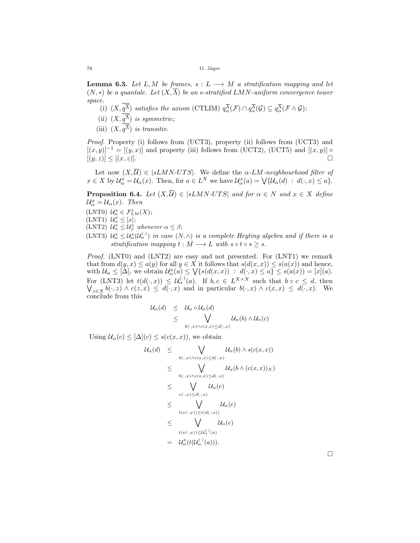**Lemma 6.3.** Let L, M be frames,  $s: L \longrightarrow M$  a stratification mapping and let  $(N, *)$  be a quantale. Let  $(X, \overline{\Lambda})$  be an s-stratified LMN-uniform convergence tower space.

(i)  $(X, q^{\overline{\Lambda}})$  satisfies the axiom (CTLIM)  $q^{\Lambda}_{\alpha}(\mathcal{F}) \cap q^{\Lambda}_{\alpha}(\mathcal{G}) \subseteq q^{\Lambda}_{\alpha}(\mathcal{F} \wedge \mathcal{G})$ ;

(ii)  $(X, q^{\Lambda})$  is symmetric;

(iii)  $(X, q^{\Lambda})$  is transitiv.

Proof. Property (i) follows from (UCT3), property (ii) follows from (UCT3) and  $[(x, y)]^{-1} = [(y, x)]$  and property (iii) follows from (UCT2), (UCT5) and  $[(x, y)] \circ$  $[(y, z)] \leq [(x, z)].$ 

Let now  $(X,\overline{\mathcal{U}}) \in |sLMN-UTS|$ . We define the  $\alpha$ -LM-neighbourhood filter of  $x \in X$  by  $\mathcal{U}_{\alpha}^x = \mathcal{U}_{\alpha}(x)$ . Then, for  $a \in L^X$  we have  $\mathcal{U}_{\alpha}^x(a) = \bigvee \{ \mathcal{U}_{\alpha}(d) : d(\cdot, x) \leq a \}.$ 

**Proposition 6.4.** Let  $(X,\overline{U}) \in |\mathcal{sL}MN\text{-}UTS|$  and for  $\alpha \in N$  and  $x \in X$  define  $\mathcal{U}_{\alpha}^x = \mathcal{U}_{\alpha}(x)$ . Then

- (LNT0)  $\mathcal{U}_{\alpha}^x \in \mathcal{F}_{LM}^s(X);$
- $(LNT1)$   $\mathcal{U}_{\alpha}^{x} \leq [x];$
- (LNT2)  $\mathcal{U}_{\alpha}^x \leq \mathcal{U}_{\beta}^x$  whenever  $\alpha \leq \beta$ ;
- (LNT3)  $\mathcal{U}_{\alpha}^x \leq \mathcal{U}_{\alpha}^x(\mathcal{U}_{\alpha}^{(\cdot)})$  in case  $(N, \wedge)$  is a complete Heyting algebra and if there is a stratification mapping  $t : M \longrightarrow L$  with  $s \circ t \circ s \geq s$ .

Proof. (LNT0) and (LNT2) are easy and not presented. For (LNT1) we remark that from  $d(y, x) \le a(y)$  for all  $y \in X$  it follows that  $s(d(x, x)) \le s(a(x))$  and hence, with  $\mathcal{U}_{\alpha} \leq [\Delta]$ , we obtain  $\mathcal{U}_{\alpha}^x(a) \leq \bigvee \{s(d(x,x)) : d(\cdot,x) \leq a\} \leq s(a(x)) = [x](a)$ . For (LNT3) let  $t(d(\cdot,x)) \leq \mathcal{U}_{\alpha}^{(\cdot)}(a)$ . If  $b, c \in L^{X \times X}$ W such that  $b \circ c \leq d$ , then  $z \in X$   $b(\cdot, z) \wedge c(z, x) \leq d(\cdot, x)$  and in particular  $b(\cdot, x) \wedge c(x, x) \leq d(\cdot, x)$ . We conclude from this

$$
\begin{array}{lcl} \mathcal{U}_{\alpha}(d) & \leq & \mathcal{U}_{\alpha} \circ \mathcal{U}_{\alpha}(d) \\ & \leq & \bigvee_{b(\cdot,x) \wedge c(x,x) \leq d(\cdot,x)} \mathcal{U}_{\alpha}(b) \wedge \mathcal{U}_{\alpha}(c) \end{array}
$$

Using  $\mathcal{U}_{\alpha}(c) \leq [\Delta](c) \leq s(c(x,x))$ , we obtain

$$
U_{\alpha}(d) \leq \bigvee_{b(\cdot,x)\wedge c(x,x)\leq d(\cdot,x)} U_{\alpha}(b) \wedge s(c(x,x))
$$
  
\n
$$
\leq \bigvee_{b(\cdot,x)\wedge c(x,x)\leq d(\cdot,x)} U_{\alpha}(b \wedge (c(x,x))_{X})
$$
  
\n
$$
\leq \bigvee_{e(\cdot,x)\leq d(\cdot,x)} U_{\alpha}(e)
$$
  
\n
$$
\leq \bigvee_{t(e(\cdot,x))\leq t(d(\cdot,x))} U_{\alpha}(e)
$$
  
\n
$$
\leq \bigvee_{t(e(\cdot,x))\leq t(d(\cdot,x))} U_{\alpha}(e)
$$
  
\n
$$
= U_{\alpha}^{x}(t(U_{\alpha}^{(\cdot)}(a))).
$$

 $\Box$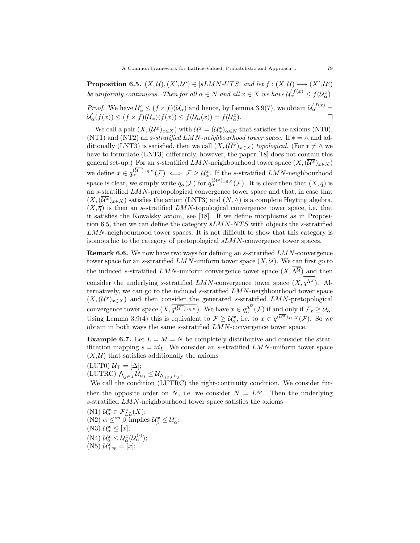**Proposition 6.5.**  $(X,\overline{\mathcal{U}}), (X',\overline{\mathcal{U}'}) \in |\mathit{sLMN-UTS}|$  and let  $f : (X,\overline{\mathcal{U}}) \longrightarrow (X',\overline{\mathcal{U}'})$ be uniformly continuous. Then for all  $\alpha \in N$  and all  $x \in X$  we have  $\mathcal{U}_{\alpha}^{f(x)} \leq f(\mathcal{U}_{\alpha}^{x})$ .

*Proof.* We have  $\mathcal{U}'_{\alpha} \leq (f \times f)(\mathcal{U}_{\alpha})$  and hence, by Lemma 3.9(7), we obtain  $\mathcal{U}'_{\alpha}^{(f(x))}$  $\mathcal{U}'_{\alpha}(f(x)) \leq (f \times f)(\mathcal{U}_{\alpha})(f(x)) \leq f(\mathcal{U}_{\alpha}(x)) = f(\mathcal{U}_{\alpha}^x)$  $\alpha^{(x)}$ .

We call a pair  $(X, (\overline{\mathcal{U}^x})_{x \in X})$  with  $\overline{\mathcal{U}^x} = (\mathcal{U}^x_\alpha)_{\alpha \in N}$  that satisfies the axioms (NT0), (NT1) and (NT2) an s-stratified LMN-neighbourhood tower space. If  $* = \wedge$  and additionally (LNT3) is satisfied, then we call  $(X,(\overline{\mathcal{U}^x})_{x\in X})$  topological. (For  $*\neq \wedge$  we have to formulate (LNT3) differently, however, the paper [18] does not contain this general set-up.) For an s-stratified LMN-neighbourhood tower space  $(X,(\overline{\mathcal{U}^x})_{x\in X})$ we define  $x \in q_\alpha^{(\overline{\mathcal{U}}^x)x \in X}(\mathcal{F}) \iff \mathcal{F} \geq \mathcal{U}_\alpha^x$ . If the s-stratified LMN-neighbourhood space is clear, we simply write  $q_\alpha(\mathcal{F})$  for  $q_\alpha^{(\overline{\mathcal{U}^x})_{x\in X}}(\mathcal{F})$ . It is clear then that  $(X,\overline{q})$  is an s-stratified LMN-pretopological convergence tower space and that, in case that  $(X,(\overline{\mathcal{U}^x})_{x\in X})$  satisfies the axiom (LNT3) and  $(N,\wedge)$  is a complete Heyting algebra,  $(X, \overline{q})$  is then an s-stratified LMN-topological convergence tower space, i.e. that it satisfies the Kowalsky axiom, see [18]. If we define morphisms as in Proposition 6.5, then we can define the category  $sLMN-NTS$  with objects the s-stratified LMN-neighbourhood tower spaces. It is not difficult to show that this category is isomoprhic to the category of pretopological sLMN-convergence tower spaces.

Remark 6.6. We now have two ways for defining an s-stratified LMN-convergence tower space for an s-stratified LMN-uniform tower space  $(X,\overline{\mathcal{U}})$ . We can first go to the induced s-stratified  $LMN$ -uniform convergence tower space  $(X, \overline{\Lambda^{U}})$  and then consider the underlying s-stratified  $LMN$ -convergence tower space  $(X, q^{\Lambda^{\mathcal{U}}})$ . Alternatively, we can go to the induced s-stratfied LMN-neighbourhood tower space  $(X,(\overline{\mathcal{U}^x})_{x\in X})$  and then consider the generated s-stratified LMN-pretopological convergence tower space  $(X, \overline{q^{(\overline{\mathcal{U}^x})_{x \in X}}})$ . We have  $x \in q^{\Lambda^{\overline{\mathcal{U}}}}_{\alpha}(\mathcal{F})$  if and only if  $\mathcal{F}_x \geq \mathcal{U}_{\alpha}$ . Using Lemma 3.9(4) this is equivalent to  $\mathcal{F} \geq \mathcal{U}_{\alpha}^x$ , i.e. to  $x \in q^{(\overline{\mathcal{U}^x})_{x \in X}}(\mathcal{F})$ . So we obtain in both ways the same s-stratified LMN-convergence tower space.

**Example 6.7.** Let  $L = M = N$  be completely distributive and consider the stratification mapping  $s = id_L$ . We consider an s-stratified LMN-uniform tower space  $(X,\overline{\mathcal{U}})$  that satisfies additionally the axioms

 $(LUT0)$   $U_{\top} = [\Delta];$  $(\text{LUTRC}) \bigwedge_{j \in J} \mathcal{U}_{\alpha_j} \leq \mathcal{U}_{\bigwedge_{j \in J} \alpha_j}.$ 

We call the condition (LUTRC) the right-continuity condition. We consider further the opposite order on N, i.e. we consider  $N = L^{op}$ . Then the underlying s-stratified LMN-neighbourhood tower space satisfies the axioms

(N1)  $\mathcal{U}_{\alpha}^{x} \in \mathcal{F}_{LL}^{s}(X);$ (N2)  $\alpha \leq^{op} \beta$  implies  $\mathcal{U}_{\beta}^x \leq \mathcal{U}_{\alpha}^x$ ; (N3)  $\mathcal{U}_{\alpha}^{x} \leq [x];$ (N4)  $\mathcal{U}_{\alpha}^{x} \leq \mathcal{U}_{\alpha}^{x}(\mathcal{U}_{\alpha}^{(\cdot)});$ (N5)  $\mathcal{U}_{\perp^{op}}^x = [x];$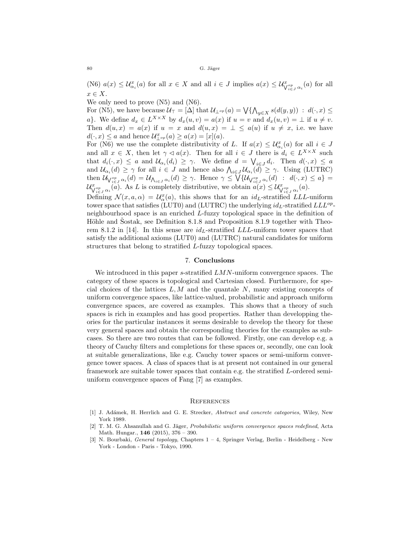(N6)  $a(x) \leq U_{\alpha_i}^x(a)$  for all  $x \in X$  and all  $i \in J$  implies  $a(x) \leq U_{\sqrt{\alpha_i} \sigma_i}^x(a)$  for all  $x \in X$ .

We only need to prove  $(N5)$  and  $(N6)$ .

For (N5), we have because  $\mathcal{U}_{\top} = [\Delta] \text{ that } \mathcal{U}_{\bot^{op}}(a) = \bigvee \{ \bigwedge_{y \in X} s(d(y, y)) \ : \ d(\cdot, x) \leq \bot \}$ a}. We define  $d_x \in L^{X \times X}$  by  $d_x(u, v) = a(x)$  if  $u = v$  and  $d_x(u, v) = \bot$  if  $u \neq v$ . Then  $d(u, x) = a(x)$  if  $u = x$  and  $d(u, x) = \perp \le a(u)$  if  $u \ne x$ , i.e. we have  $d(\cdot, x) \le a$  and hence  $\mathcal{U}^x_{\perp^{op}}(a) \ge a(x) = [x](a)$ .

For (N6) we use the complete distributivity of L. If  $a(x) \leq U_{\alpha_i}^x(a)$  for all  $i \in J$ and all  $x \in X$ , then let  $\gamma \lhd a(x)$ . Then for all  $i \in J$  there is  $d_i \in L^{X \times X}$  such that  $d_i(\cdot, x) \leq a$  and  $\mathcal{U}_{\alpha_i}(d_i) \geq \gamma$ . We define  $d = \bigvee_{i \in J} d_i$ . Then  $d(\cdot, x) \leq a$ and  $\mathcal{U}_{\alpha_i}(d) \geq \gamma$  for all  $i \in J$  and hence also  $\bigwedge_{i \in J} \mathcal{U}_{\alpha_i}(d) \geq \gamma$ . Using (LUTRC) then  $\mathcal{U}_{\bigvee_{i\in J}^{op}\alpha_i}(d) = \mathcal{U}_{\bigwedge_{i\in J}\alpha_i}(d) \geq \gamma$ . Hence  $\gamma \leq \bigvee \{\mathcal{U}_{\bigvee_{i\in J}^{op}\alpha_i}(d) : d(\cdot, x) \leq a\}$  $\mathcal{U}^x_{\bigvee_{i\in J}^{\text{op}}\alpha_i}(\tilde{a})$ . As L is completely distributive, we obtain  $\tilde{a}(x) \leq \mathcal{U}^x_{\bigvee_{i\in J}^{\text{op}}\alpha_i}(a)$ .

Defining  $\mathcal{N}(x, a, \alpha) = \mathcal{U}_{\alpha}^{x}(a)$ , this shows that for an  $id_L$ -stratified LLL-uniform tower space that satisfies (LUT0) and (LUTRC) the underlying  $id_L$ -stratified  $LLL^{op}$ neighbourhood space is an enriched L-fuzzy topological space in the definition of Höhle and Šostak, see Definition 8.1.8 and Proposition 8.1.9 together with Theorem 8.1.2 in [14]. In this sense are  $id_L$ -stratified  $LLL$ -uniform tower spaces that satisfy the additional axioms (LUT0) and (LUTRC) natural candidates for uniform structures that belong to stratified L-fuzzy topological spaces.

### 7. Conclusions

We introduced in this paper s-stratified  $LMN$ -uniform convergence spaces. The category of these spaces is topological and Cartesian closed. Furthermore, for special choices of the lattices  $L, M$  and the quantale  $N$ , many existing concepts of uniform convergence spaces, like lattice-valued, probabilistic and approach uniform convergence spaces, are covered as examples. This shows that a theory of such spaces is rich in examples and has good properties. Rather than developping theories for the particular instances it seems desirable to develop the theory for these very general spaces and obtain the corresponding theories for the examples as subcases. So there are two routes that can be followed. Firstly, one can develop e.g. a theory of Cauchy filters and completions for these spaces or, secondly, one can look at suitable generalizations, like e.g. Cauchy tower spaces or semi-uniform convergence tower spaces. A class of spaces that is at present not contained in our general framework are suitable tower spaces that contain e.g. the stratified L-ordered semiuniform convergence spaces of Fang [7] as examples.

#### **REFERENCES**

- [1] J. Adámek, H. Herrlich and G. E. Strecker, Abstract and concrete categories, Wiley, New York 1989.
- [2] T. M. G. Ahsanullah and G. Jäger, Probabilistic uniform convergence spaces redefined, Acta Math. Hungar., 146 (2015), 376 – 390.
- [3] N. Bourbaki, *General topology*, Chapters  $1 4$ , Springer Verlag, Berlin Heidelberg New York - London - Paris - Tokyo, 1990.